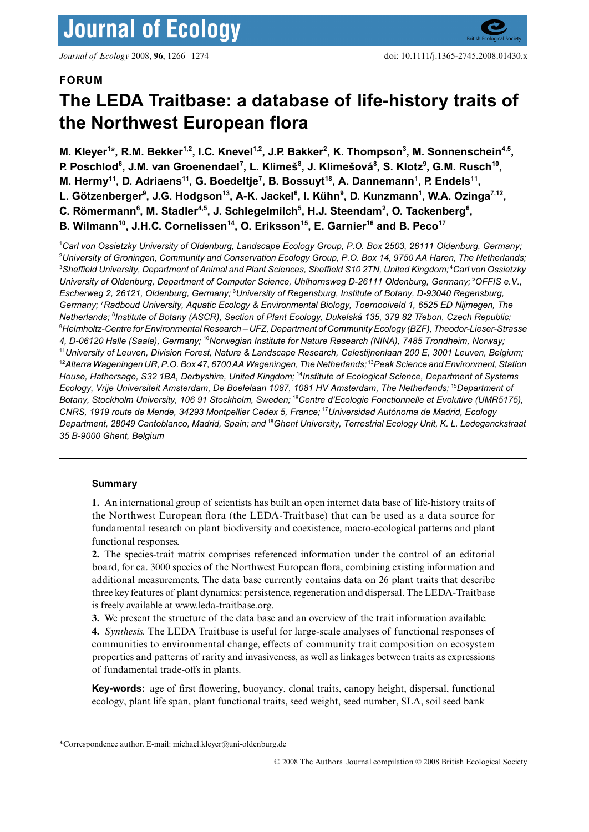*Journal of Ecology* 2008, **96**, 1266–1274 doi: 10.1111/j.1365-2745.2008.01430.x

# Blackwell Publishing Ltd **FORUM**

# **The LEDA Traitbase: a database of life-history traits of the Northwest European flora**

M. Kleyer<sup>1</sup>\*, R.M. Bekker<sup>1,2</sup>, I.C. Knevel<sup>1,2</sup>, J.P. Bakker<sup>2</sup>, K. Thompson<sup>3</sup>, M. Sonnenschein<sup>4,5</sup>, **P. Poschlod6 , J.M. van Groenendael7 , L. Klime**s**<sup>8</sup> , J. Klime**s**ová8 , S. Klotz9 , G.M. Rusch10,**  M. Hermy<sup>11</sup>, D. Adriaens<sup>11</sup>, G. Boedeltje<sup>7</sup>, B. Bossuyt<sup>18</sup>, A. Dannemann<sup>1</sup>, P. Endels<sup>11</sup>, L. Götzenberger<sup>9</sup>, J.G. Hodgson<sup>13</sup>, A-K. Jackel<sup>6</sup>, I. Kühn<sup>9</sup>, D. Kunzmann<sup>1</sup>, W.A. Ozinga<sup>7,12</sup>, C. Römermann<sup>6</sup>, M. Stadler<sup>4,5</sup>, J. Schlegelmilch<sup>5</sup>, H.J. Steendam<sup>2</sup>, O. Tackenberg<sup>6</sup>, B. Wilmann<sup>10</sup>, J.H.C. Cornelissen<sup>14</sup>, O. Eriksson<sup>15</sup>, E. Garnier<sup>16</sup> and B. Peco<sup>17</sup>

1 *Carl von Ossietzky University of Oldenburg, Landscape Ecology Group, P.O. Box 2503, 26111 Oldenburg, Germany;*  2 *University of Groningen, Community and Conservation Ecology Group, P.O. Box 14, 9750 AA Haren, The Netherlands;*   $^3$ Sheffield University, Department of Animal and Plant Sciences, Sheffield S10 2TN, United Kingdom; $^4$ Carl von Ossietzky *University of Oldenburg, Department of Computer Science, Uhlhornsweg D-26111 Oldenburg, Germany;* <sup>5</sup> *OFFIS e.V., Escherweg 2, 26121, Oldenburg, Germany;* <sup>6</sup> *University of Regensburg, Institute of Botany, D-93040 Regensburg, Germany;* <sup>7</sup> *Radboud University, Aquatic Ecology & Environmental Biology, Toernooiveld 1, 6525 ED Nijmegen, The Netherlands;* <sup>8</sup> *Institute of Botany (ASCR), Section of Plant Ecology, Dukelská 135, 379 82 T*r*ebon, Czech Republic;* 9 *Helmholtz-Centre for Environmental Research – UFZ, Department of Community Ecology (BZF), Theodor-Lieser-Strasse 4, D-06120 Halle (Saale), Germany;* 10*Norwegian Institute for Nature Research (NINA), 7485 Trondheim, Norway;* <sup>11</sup>*University of Leuven, Division Forest, Nature & Landscape Research, Celestijnenlaan 200 E, 3001 Leuven, Belgium;*  <sup>12</sup>*Alterra Wageningen UR, P.O. Box 47, 6700 AA Wageningen, The Netherlands;* <sup>13</sup>*Peak Science and Environment, Station House, Hathersage, S32 1BA, Derbyshire, United Kingdom;* <sup>14</sup>*Institute of Ecological Science, Department of Systems Ecology, Vrije Universiteit Amsterdam, De Boelelaan 1087, 1081 HV Amsterdam, The Netherlands;* <sup>15</sup>*Department of Botany, Stockholm University, 106 91 Stockholm, Sweden;* <sup>16</sup>*Centre d'Ecologie Fonctionnelle et Evolutive (UMR5175), CNRS, 1919 route de Mende, 34293 Montpellier Cedex 5, France;* <sup>17</sup>*Universidad Autónoma de Madrid, Ecology Department, 28049 Cantoblanco, Madrid, Spain; and* <sup>18</sup>*Ghent University, Terrestrial Ecology Unit, K. L. Ledeganckstraat 35 B-9000 Ghent, Belgium*

# **Summary**

**1.** An international group of scientists has built an open internet data base of life-history traits of the Northwest European flora (the LEDA-Traitbase) that can be used as a data source for fundamental research on plant biodiversity and coexistence, macro-ecological patterns and plant functional responses.

**2.** The species-trait matrix comprises referenced information under the control of an editorial board, for ca. 3000 species of the Northwest European flora, combining existing information and additional measurements. The data base currently contains data on 26 plant traits that describe three key features of plant dynamics: persistence, regeneration and dispersal. The LEDA-Traitbase is freely available at www.leda-traitbase.org.

**3.** We present the structure of the data base and an overview of the trait information available.

**4.** *Synthesis.* The LEDA Traitbase is useful for large-scale analyses of functional responses of communities to environmental change, effects of community trait composition on ecosystem properties and patterns of rarity and invasiveness, as well as linkages between traits as expressions of fundamental trade-offs in plants.

**Key-words:** age of first flowering, buoyancy, clonal traits, canopy height, dispersal, functional ecology, plant life span, plant functional traits, seed weight, seed number, SLA, soil seed bank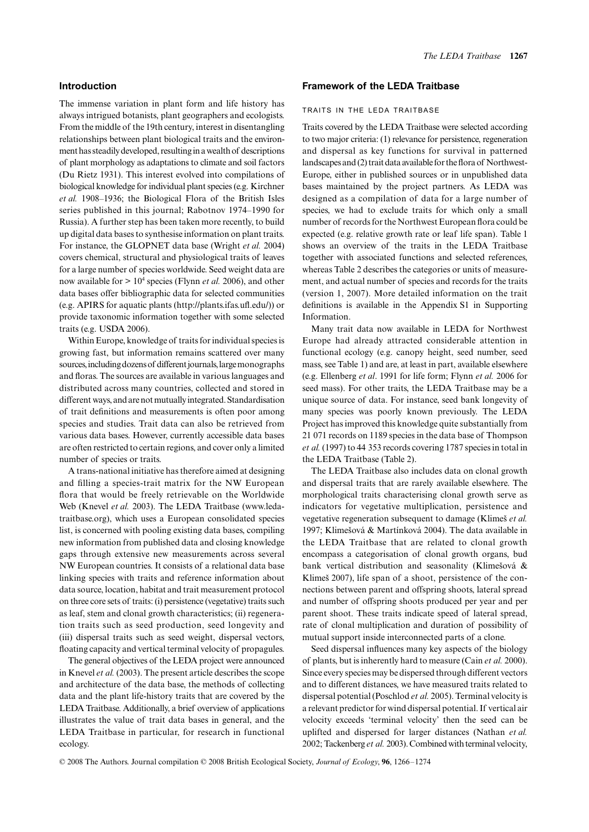## **Introduction**

The immense variation in plant form and life history has always intrigued botanists, plant geographers and ecologists. From the middle of the 19th century, interest in disentangling relationships between plant biological traits and the environment has steadily developed, resulting in a wealth of descriptions of plant morphology as adaptations to climate and soil factors (Du Rietz 1931). This interest evolved into compilations of biological knowledge for individual plant species (e.g. Kirchner *et al.* 1908–1936; the Biological Flora of the British Isles series published in this journal; Rabotnov 1974–1990 for Russia). A further step has been taken more recently, to build up digital data bases to synthesise information on plant traits. For instance, the GLOPNET data base (Wright *et al.* 2004) covers chemical, structural and physiological traits of leaves for a large number of species worldwide. Seed weight data are now available for  $> 10^4$  species (Flynn *et al.* 2006), and other data bases offer bibliographic data for selected communities (e.g. APIRS for aquatic plants [\(http://plants.ifas.ufl.edu/\)\)](http://plants.ifas.ufl.edu/) or provide taxonomic information together with some selected traits (e.g. USDA 2006).

Within Europe, knowledge of traits for individual species is growing fast, but information remains scattered over many sources, including dozens of different journals, large monographs and floras. The sources are available in various languages and distributed across many countries, collected and stored in different ways, and are not mutually integrated. Standardisation of trait definitions and measurements is often poor among species and studies. Trait data can also be retrieved from various data bases. However, currently accessible data bases are often restricted to certain regions, and cover only a limited number of species or traits.

A trans-national initiative has therefore aimed at designing and filling a species-trait matrix for the NW European flora that would be freely retrievable on the Worldwide Web (Knevel *et al.* 2003). The LEDA Traitbase (www.ledatraitbase.org), which uses a European consolidated species list, is concerned with pooling existing data bases, compiling new information from published data and closing knowledge gaps through extensive new measurements across several NW European countries. It consists of a relational data base linking species with traits and reference information about data source, location, habitat and trait measurement protocol on three core sets of traits: (i) persistence (vegetative) traits such as leaf, stem and clonal growth characteristics; (ii) regeneration traits such as seed production, seed longevity and (iii) dispersal traits such as seed weight, dispersal vectors, floating capacity and vertical terminal velocity of propagules.

The general objectives of the LEDA project were announced in Knevel *et al.* (2003). The present article describes the scope and architecture of the data base, the methods of collecting data and the plant life-history traits that are covered by the LEDA Traitbase. Additionally, a brief overview of applications illustrates the value of trait data bases in general, and the LEDA Traitbase in particular, for research in functional ecology.

#### **Framework of the LEDA Traitbase**

## TRAITS IN THE LEDA TRAITBASE

Traits covered by the LEDA Traitbase were selected according to two major criteria: (1) relevance for persistence, regeneration and dispersal as key functions for survival in patterned landscapes and (2) trait data available for the flora of Northwest-Europe, either in published sources or in unpublished data bases maintained by the project partners. As LEDA was designed as a compilation of data for a large number of species, we had to exclude traits for which only a small number of records for the Northwest European flora could be expected (e.g. relative growth rate or leaf life span). Table 1 shows an overview of the traits in the LEDA Traitbase together with associated functions and selected references, whereas Table 2 describes the categories or units of measurement, and actual number of species and records for the traits (version 1, 2007). More detailed information on the trait definitions is available in the Appendix S1 in Supporting Information.

Many trait data now available in LEDA for Northwest Europe had already attracted considerable attention in functional ecology (e.g. canopy height, seed number, seed mass, see Table 1) and are, at least in part, available elsewhere (e.g. Ellenberg *et al*. 1991 for life form; Flynn *et al.* 2006 for seed mass). For other traits, the LEDA Traitbase may be a unique source of data. For instance, seed bank longevity of many species was poorly known previously. The LEDA Project has improved this knowledge quite substantially from 21 071 records on 1189 species in the data base of Thompson *et al.* (1997) to 44 353 records covering 1787 species in total in the LEDA Traitbase (Table 2).

The LEDA Traitbase also includes data on clonal growth and dispersal traits that are rarely available elsewhere. The morphological traits characterising clonal growth serve as indicators for vegetative multiplication, persistence and vegetative regeneration subsequent to damage (Klimes *et al.* 1997; Klimesová & Martínková 2004). The data available in the LEDA Traitbase that are related to clonal growth encompass a categorisation of clonal growth organs, bud bank vertical distribution and seasonality (Klimešová & Klimes 2007), life span of a shoot, persistence of the connections between parent and offspring shoots, lateral spread and number of offspring shoots produced per year and per parent shoot. These traits indicate speed of lateral spread, rate of clonal multiplication and duration of possibility of mutual support inside interconnected parts of a clone.

Seed dispersal influences many key aspects of the biology of plants, but is inherently hard to measure (Cain *et al.* 2000). Since every species may be dispersed through different vectors and to different distances, we have measured traits related to dispersal potential (Poschlod *et al.* 2005). Terminal velocity is a relevant predictor for wind dispersal potential. If vertical air velocity exceeds 'terminal velocity' then the seed can be uplifted and dispersed for larger distances (Nathan *et al.* 2002; Tackenberg *et al.* 2003). Combined with terminal velocity,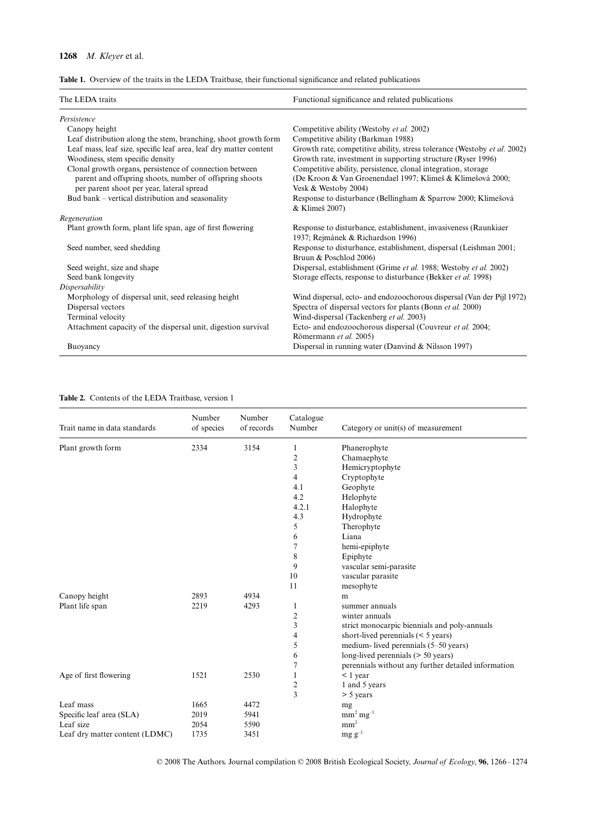# **1268** *M. Kleyer* et al.

| Table 1. Overview of the traits in the LEDA Traitbase, their functional significance and related publications |  |  |  |
|---------------------------------------------------------------------------------------------------------------|--|--|--|
|---------------------------------------------------------------------------------------------------------------|--|--|--|

| The LEDA traits                                                                                      | Functional significance and related publications                                                      |
|------------------------------------------------------------------------------------------------------|-------------------------------------------------------------------------------------------------------|
| Persistence                                                                                          |                                                                                                       |
| Canopy height                                                                                        | Competitive ability (Westoby et al. 2002)                                                             |
| Leaf distribution along the stem, branching, shoot growth form                                       | Competitive ability (Barkman 1988)                                                                    |
| Leaf mass, leaf size, specific leaf area, leaf dry matter content                                    | Growth rate, competitive ability, stress tolerance (Westoby et al. 2002)                              |
| Woodiness, stem specific density                                                                     | Growth rate, investment in supporting structure (Ryser 1996)                                          |
| Clonal growth organs, persistence of connection between                                              | Competitive ability, persistence, clonal integration, storage                                         |
| parent and offspring shoots, number of offspring shoots<br>per parent shoot per year, lateral spread | (De Kroon & Van Groenendael 1997; Klimeš & Klimešová 2000;<br>Vesk & Westoby 2004)                    |
| Bud bank – vertical distribution and seasonality                                                     | Response to disturbance (Bellingham & Sparrow 2000; Klimešová<br>& Klimeš 2007)                       |
| Regeneration                                                                                         |                                                                                                       |
| Plant growth form, plant life span, age of first flowering                                           | Response to disturbance, establishment, invasiveness (Raunkiaer)<br>1937; Rejmánek & Richardson 1996) |
| Seed number, seed shedding                                                                           | Response to disturbance, establishment, dispersal (Leishman 2001;<br>Bruun & Poschlod 2006)           |
| Seed weight, size and shape                                                                          | Dispersal, establishment (Grime et al. 1988; Westoby et al. 2002)                                     |
| Seed bank longevity                                                                                  | Storage effects, response to disturbance (Bekker <i>et al.</i> 1998)                                  |
| Dispersability                                                                                       |                                                                                                       |
| Morphology of dispersal unit, seed releasing height                                                  | Wind dispersal, ecto- and endozoochorous dispersal (Van der Pijl 1972)                                |
| Dispersal vectors                                                                                    | Spectra of dispersal vectors for plants (Bonn et al. 2000)                                            |
| Terminal velocity                                                                                    | Wind-dispersal (Tackenberg et al. 2003)                                                               |
| Attachment capacity of the dispersal unit, digestion survival                                        | Ecto- and endozoochorous dispersal (Couvreur et al. 2004;<br>Römermann et al. 2005)                   |
| Buoyancy                                                                                             | Dispersal in running water (Danvind & Nilsson 1997)                                                   |

# **Table 2.** Contents of the LEDA Traitbase, version 1

| Trait name in data standards   | Number<br>of species | Number<br>of records | Catalogue<br>Number     | Category or unit(s) of measurement                  |
|--------------------------------|----------------------|----------------------|-------------------------|-----------------------------------------------------|
| Plant growth form              | 2334                 | 3154                 | 1                       | Phanerophyte                                        |
|                                |                      |                      | $\overline{\mathbf{c}}$ | Chamaephyte                                         |
|                                |                      |                      | 3                       | Hemicryptophyte                                     |
|                                |                      |                      | $\overline{4}$          | Cryptophyte                                         |
|                                |                      |                      | 4.1                     | Geophyte                                            |
|                                |                      |                      | 4.2                     | Helophyte                                           |
|                                |                      |                      | 4.2.1                   | Halophyte                                           |
|                                |                      |                      | 4.3                     | Hydrophyte                                          |
|                                |                      |                      | 5                       | Therophyte                                          |
|                                |                      |                      | 6                       | Liana                                               |
|                                |                      |                      | 7                       | hemi-epiphyte                                       |
|                                |                      |                      | 8                       | Epiphyte                                            |
|                                |                      |                      | 9                       | vascular semi-parasite                              |
|                                |                      |                      | 10                      | vascular parasite                                   |
|                                |                      |                      | 11                      | mesophyte                                           |
| Canopy height                  | 2893                 | 4934                 |                         | m                                                   |
| Plant life span                | 2219                 | 4293                 | 1                       | summer annuals                                      |
|                                |                      |                      | $\mathfrak{2}$          | winter annuals                                      |
|                                |                      |                      | 3                       | strict monocarpic biennials and poly-annuals        |
|                                |                      |                      | 4                       | short-lived perennials $(< 5 \text{ years})$        |
|                                |                      |                      | 5                       | medium-lived perennials (5–50 years)                |
|                                |                      |                      | 6                       | long-lived perennials (> 50 years)                  |
|                                |                      |                      | 7                       | perennials without any further detailed information |
| Age of first flowering         | 1521                 | 2530                 | $\mathbf{1}$            | $<$ 1 year                                          |
|                                |                      |                      | $\overline{c}$          | 1 and 5 years                                       |
|                                |                      |                      | 3                       | $> 5$ years                                         |
| Leaf mass                      | 1665                 | 4472                 |                         | mg                                                  |
| Specific leaf area (SLA)       | 2019                 | 5941                 |                         | $mm2$ mg <sup>-1</sup>                              |
| Leaf size                      | 2054                 | 5590                 |                         | mm <sup>2</sup>                                     |
| Leaf dry matter content (LDMC) | 1735                 | 3451                 |                         | $mg g^{-1}$                                         |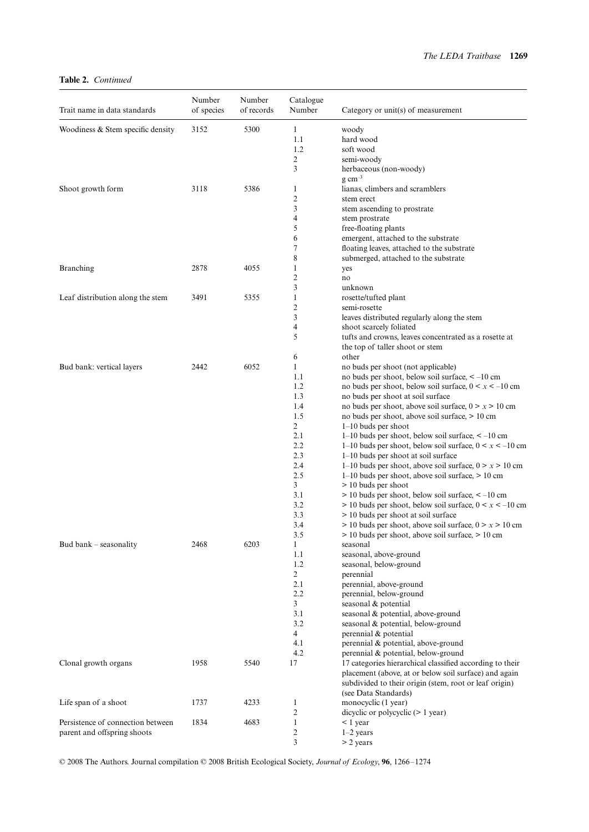# **Table 2.** *Continued*

| Trait name in data standards      | Number<br>of species | Number<br>of records | Catalogue<br>Number             | Category or unit(s) of measurement                                                                                                                                 |
|-----------------------------------|----------------------|----------------------|---------------------------------|--------------------------------------------------------------------------------------------------------------------------------------------------------------------|
| Woodiness & Stem specific density | 3152                 | 5300                 | $\mathbf{1}$<br>1.1<br>1.2<br>2 | woody<br>hard wood<br>soft wood<br>semi-woody                                                                                                                      |
|                                   |                      |                      | 3                               | herbaceous (non-woody)<br>$g \text{ cm}^{-3}$                                                                                                                      |
| Shoot growth form                 | 3118                 | 5386                 | 1<br>2                          | lianas, climbers and scramblers<br>stem erect                                                                                                                      |
|                                   |                      |                      | 3<br>4                          | stem ascending to prostrate<br>stem prostrate                                                                                                                      |
|                                   |                      |                      | 5<br>6                          | free-floating plants<br>emergent, attached to the substrate                                                                                                        |
|                                   |                      |                      | 7<br>8                          | floating leaves, attached to the substrate<br>submerged, attached to the substrate                                                                                 |
| <b>Branching</b>                  | 2878                 | 4055                 | 1<br>2                          | yes<br>no                                                                                                                                                          |
| Leaf distribution along the stem  | 3491                 | 5355                 | 3<br>$\mathbf{1}$               | unknown<br>rosette/tufted plant                                                                                                                                    |
|                                   |                      |                      | 2                               | semi-rosette                                                                                                                                                       |
|                                   |                      |                      | 3<br>4<br>5                     | leaves distributed regularly along the stem<br>shoot scarcely foliated<br>tufts and crowns, leaves concentrated as a rosette at<br>the top of taller shoot or stem |
|                                   |                      |                      | 6                               | other                                                                                                                                                              |
| Bud bank: vertical layers         | 2442                 | 6052                 | 1<br>1.1<br>1.2                 | no buds per shoot (not applicable)<br>no buds per shoot, below soil surface, < -10 cm                                                                              |
|                                   |                      |                      | 1.3<br>1.4                      | no buds per shoot, below soil surface, $0 < x < -10$ cm<br>no buds per shoot at soil surface<br>no buds per shoot, above soil surface, $0 > x > 10$ cm             |
|                                   |                      |                      | 1.5<br>2                        | no buds per shoot, above soil surface, > 10 cm<br>$1-10$ buds per shoot                                                                                            |
|                                   |                      |                      | 2.1<br>2.2                      | $1-10$ buds per shoot, below soil surface, $\leq -10$ cm<br>1–10 buds per shoot, below soil surface, $0 < x <$ –10 cm                                              |
|                                   |                      |                      | 2.3<br>2.4                      | 1–10 buds per shoot at soil surface<br>1–10 buds per shoot, above soil surface, $0 > x > 10$ cm                                                                    |
|                                   |                      |                      | 2.5<br>3                        | $1-10$ buds per shoot, above soil surface, $> 10$ cm<br>$> 10$ buds per shoot                                                                                      |
|                                   |                      |                      | 3.1<br>3.2                      | > 10 buds per shoot, below soil surface, < -10 cm<br>$> 10$ buds per shoot, below soil surface, $0 < x < -10$ cm                                                   |
|                                   |                      |                      | 3.3<br>3.4                      | > 10 buds per shoot at soil surface<br>$> 10$ buds per shoot, above soil surface, $0 > x > 10$ cm                                                                  |
| Bud bank $-$ seasonality          | 2468                 | 6203                 | 3.5<br>1                        | > 10 buds per shoot, above soil surface, > 10 cm<br>seasonal                                                                                                       |
|                                   |                      |                      | 1.1                             | seasonal, above-ground                                                                                                                                             |
|                                   |                      |                      | 1.2<br>2                        | seasonal, below-ground<br>perennial                                                                                                                                |
|                                   |                      |                      | 2.1<br>2.2                      | perennial, above-ground<br>perennial, below-ground                                                                                                                 |
|                                   |                      |                      | $\mathfrak{Z}$<br>3.1           | seasonal & potential<br>seasonal & potential, above-ground                                                                                                         |
|                                   |                      |                      | 3.2                             | seasonal & potential, below-ground                                                                                                                                 |
|                                   |                      |                      | 4<br>4.1                        | perennial & potential<br>perennial & potential, above-ground                                                                                                       |
| Clonal growth organs              | 1958                 | 5540                 | 4.2<br>17                       | perennial & potential, below-ground<br>17 categories hierarchical classified according to their                                                                    |
|                                   |                      |                      |                                 | placement (above, at or below soil surface) and again<br>subdivided to their origin (stem, root or leaf origin)<br>(see Data Standards)                            |
| Life span of a shoot              | 1737                 | 4233                 | 1                               | monocyclic (1 year)                                                                                                                                                |
| Persistence of connection between | 1834                 | 4683                 | $\overline{c}$<br>$\mathbf{1}$  | dicyclic or polycyclic $(> 1$ year)<br>$\leq 1$ year                                                                                                               |
| parent and offspring shoots       |                      |                      | 2<br>3                          | $1-2$ years<br>> 2 years                                                                                                                                           |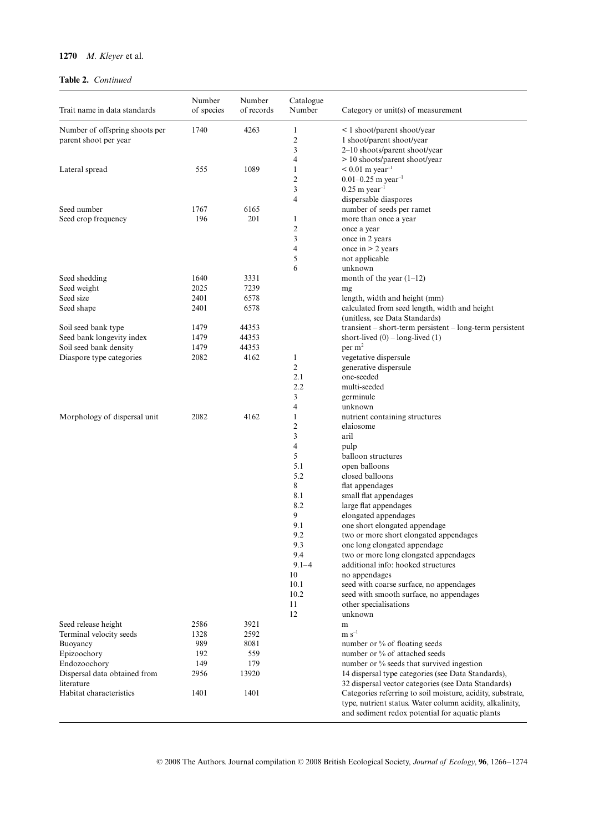# **1270** *M. Kleyer* et al.

# **Table 2.** *Continued*

| Trait name in data standards   | Number<br>of species | Number<br>of records | Catalogue<br>Number | Category or unit(s) of measurement                         |
|--------------------------------|----------------------|----------------------|---------------------|------------------------------------------------------------|
| Number of offspring shoots per | 1740                 | 4263                 | 1                   | < 1 shoot/parent shoot/year                                |
| parent shoot per year          |                      |                      | $\overline{c}$      | 1 shoot/parent shoot/year                                  |
|                                |                      |                      | 3                   | 2-10 shoots/parent shoot/year                              |
|                                |                      |                      | 4                   | > 10 shoots/parent shoot/year                              |
| Lateral spread                 | 555                  | 1089                 | $\mathbf{1}$        | $< 0.01$ m year <sup>-1</sup>                              |
|                                |                      |                      | 2                   | $0.01 - 0.25$ m year <sup>-1</sup>                         |
|                                |                      |                      | 3                   | $0.25$ m year <sup>-1</sup>                                |
|                                |                      |                      | 4                   | dispersable diaspores                                      |
| Seed number                    | 1767                 | 6165                 |                     | number of seeds per ramet                                  |
| Seed crop frequency            | 196                  | 201                  | 1                   | more than once a year                                      |
|                                |                      |                      | $\overline{c}$      | once a year                                                |
|                                |                      |                      | 3                   | once in 2 years                                            |
|                                |                      |                      | 4                   | once in $> 2$ years                                        |
|                                |                      |                      | 5                   | not applicable                                             |
|                                |                      |                      | 6                   | unknown                                                    |
| Seed shedding                  | 1640                 | 3331                 |                     | month of the year $(1-12)$                                 |
| Seed weight                    | 2025                 | 7239                 |                     | mg                                                         |
| Seed size                      | 2401                 | 6578                 |                     | length, width and height (mm)                              |
| Seed shape                     | 2401                 | 6578                 |                     | calculated from seed length, width and height              |
|                                |                      |                      |                     | (unitless, see Data Standards)                             |
| Soil seed bank type            | 1479                 | 44353                |                     | transient – short-term persistent – long-term persistent   |
| Seed bank longevity index      | 1479                 | 44353                |                     | short-lived $(0)$ – long-lived $(1)$                       |
| Soil seed bank density         | 1479                 | 44353                |                     | per $m2$                                                   |
| Diaspore type categories       | 2082                 | 4162                 | $\mathbf{1}$        | vegetative dispersule                                      |
|                                |                      |                      | $\overline{c}$      | generative dispersule                                      |
|                                |                      |                      | 2.1                 | one-seeded                                                 |
|                                |                      |                      | 2.2                 | multi-seeded                                               |
|                                |                      |                      | 3                   | germinule                                                  |
|                                |                      |                      | 4                   | unknown                                                    |
| Morphology of dispersal unit   | 2082                 | 4162                 | 1                   | nutrient containing structures                             |
|                                |                      |                      | 2                   | elaiosome                                                  |
|                                |                      |                      | 3                   | aril                                                       |
|                                |                      |                      | 4                   |                                                            |
|                                |                      |                      |                     | pulp                                                       |
|                                |                      |                      | 5                   | balloon structures                                         |
|                                |                      |                      | 5.1                 | open balloons                                              |
|                                |                      |                      | 5.2                 | closed balloons                                            |
|                                |                      |                      | 8                   | flat appendages                                            |
|                                |                      |                      | 8.1                 | small flat appendages                                      |
|                                |                      |                      | 8.2                 | large flat appendages                                      |
|                                |                      |                      | 9                   | elongated appendages                                       |
|                                |                      |                      | 9.1                 | one short elongated appendage                              |
|                                |                      |                      | 9.2                 | two or more short elongated appendages                     |
|                                |                      |                      | 9.3                 | one long elongated appendage                               |
|                                |                      |                      | 9.4                 | two or more long elongated appendages                      |
|                                |                      |                      | $9.1 - 4$           | additional info: hooked structures                         |
|                                |                      |                      | 10                  | no appendages                                              |
|                                |                      |                      | 10.1                | seed with coarse surface, no appendages                    |
|                                |                      |                      | 10.2                | seed with smooth surface, no appendages                    |
|                                |                      |                      | 11                  | other specialisations                                      |
|                                |                      |                      | 12                  | unknown                                                    |
| Seed release height            | 2586                 | 3921                 |                     | m                                                          |
| Terminal velocity seeds        | 1328                 | 2592                 |                     | $\rm m~s^{-1}$                                             |
| Buoyancy                       | 989                  | 8081                 |                     | number or % of floating seeds                              |
| Epizoochory                    | 192                  | 559                  |                     | number or % of attached seeds                              |
| Endozoochory                   | 149                  | 179                  |                     | number or % seeds that survived ingestion                  |
| Dispersal data obtained from   | 2956                 | 13920                |                     | 14 dispersal type categories (see Data Standards),         |
| literature                     |                      |                      |                     | 32 dispersal vector categories (see Data Standards)        |
| Habitat characteristics        | 1401                 | 1401                 |                     | Categories referring to soil moisture, acidity, substrate, |
|                                |                      |                      |                     | type, nutrient status. Water column acidity, alkalinity,   |
|                                |                      |                      |                     | and sediment redox potential for aquatic plants            |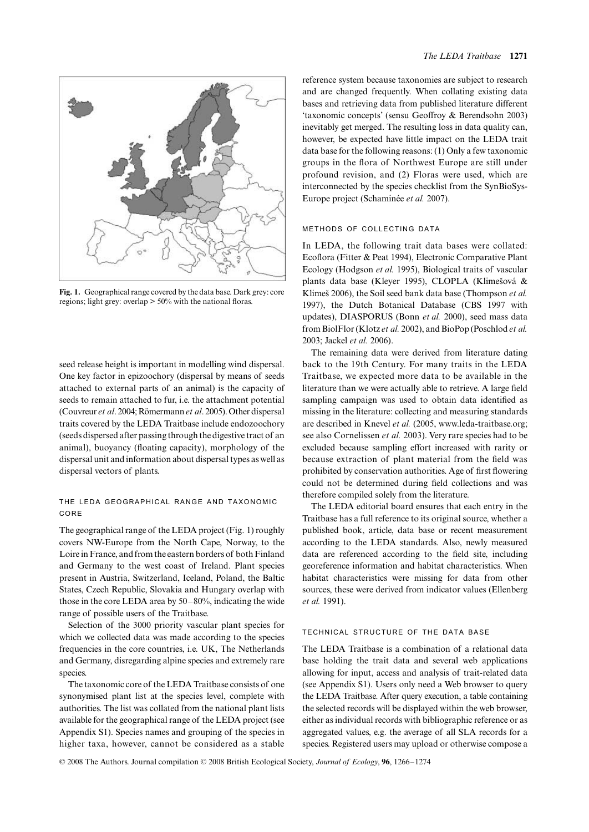

**Fig. 1.** Geographical range covered by the data base. Dark grey: core regions; light grey: overlap > 50% with the national floras.

seed release height is important in modelling wind dispersal. One key factor in epizoochory (dispersal by means of seeds attached to external parts of an animal) is the capacity of seeds to remain attached to fur, i.e. the attachment potential (Couvreur *et al*. 2004; Römermann *et al*. 2005). Other dispersal traits covered by the LEDA Traitbase include endozoochory (seeds dispersed after passing through the digestive tract of an animal), buoyancy (floating capacity), morphology of the dispersal unit and information about dispersal types as well as dispersal vectors of plants.

## THE LEDA GEOGRAPHICAL RANGE AND TAXONOMIC CORE

The geographical range of the LEDA project (Fig. 1) roughly covers NW-Europe from the North Cape, Norway, to the Loire in France, and from the eastern borders of both Finland and Germany to the west coast of Ireland. Plant species present in Austria, Switzerland, Iceland, Poland, the Baltic States, Czech Republic, Slovakia and Hungary overlap with those in the core LEDA area by 50–80%, indicating the wide range of possible users of the Traitbase.

Selection of the 3000 priority vascular plant species for which we collected data was made according to the species frequencies in the core countries, i.e. UK, The Netherlands and Germany, disregarding alpine species and extremely rare species.

The taxonomic core of the LEDA Traitbase consists of one synonymised plant list at the species level, complete with authorities. The list was collated from the national plant lists available for the geographical range of the LEDA project (see Appendix S1). Species names and grouping of the species in higher taxa, however, cannot be considered as a stable

reference system because taxonomies are subject to research and are changed frequently. When collating existing data bases and retrieving data from published literature different 'taxonomic concepts' (sensu Geoffroy & Berendsohn 2003) inevitably get merged. The resulting loss in data quality can, however, be expected have little impact on the LEDA trait data base for the following reasons: (1) Only a few taxonomic groups in the flora of Northwest Europe are still under profound revision, and (2) Floras were used, which are interconnected by the species checklist from the SynBioSys-Europe project (Schaminée *et al.* 2007).

#### METHODS OF COLLECTING DATA

In LEDA, the following trait data bases were collated: Ecoflora (Fitter & Peat 1994), Electronic Comparative Plant Ecology (Hodgson *et al.* 1995), Biological traits of vascular plants data base (Kleyer 1995), CLOPLA (Klimešová & Klimes 2006), the Soil seed bank data base (Thompson *et al.* 1997), the Dutch Botanical Database (CBS 1997 with updates), DIASPORUS (Bonn *et al.* 2000), seed mass data from BiolFlor (Klotz *et al.* 2002), and BioPop (Poschlod *et al.* 2003; Jackel *et al.* 2006).

The remaining data were derived from literature dating back to the 19th Century. For many traits in the LEDA Traitbase, we expected more data to be available in the literature than we were actually able to retrieve. A large field sampling campaign was used to obtain data identified as missing in the literature: collecting and measuring standards are described in Knevel *et al.* (2005, www.leda-traitbase.org; see also Cornelissen *et al.* 2003). Very rare species had to be excluded because sampling effort increased with rarity or because extraction of plant material from the field was prohibited by conservation authorities. Age of first flowering could not be determined during field collections and was therefore compiled solely from the literature.

The LEDA editorial board ensures that each entry in the Traitbase has a full reference to its original source, whether a published book, article, data base or recent measurement according to the LEDA standards. Also, newly measured data are referenced according to the field site, including georeference information and habitat characteristics. When habitat characteristics were missing for data from other sources, these were derived from indicator values (Ellenberg *et al.* 1991).

# TECHNICAL STRUCTURE OF THE DATA BASE

The LEDA Traitbase is a combination of a relational data base holding the trait data and several web applications allowing for input, access and analysis of trait-related data (see Appendix S1). Users only need a Web browser to query the LEDA Traitbase. After query execution, a table containing the selected records will be displayed within the web browser, either as individual records with bibliographic reference or as aggregated values, e.g. the average of all SLA records for a species. Registered users may upload or otherwise compose a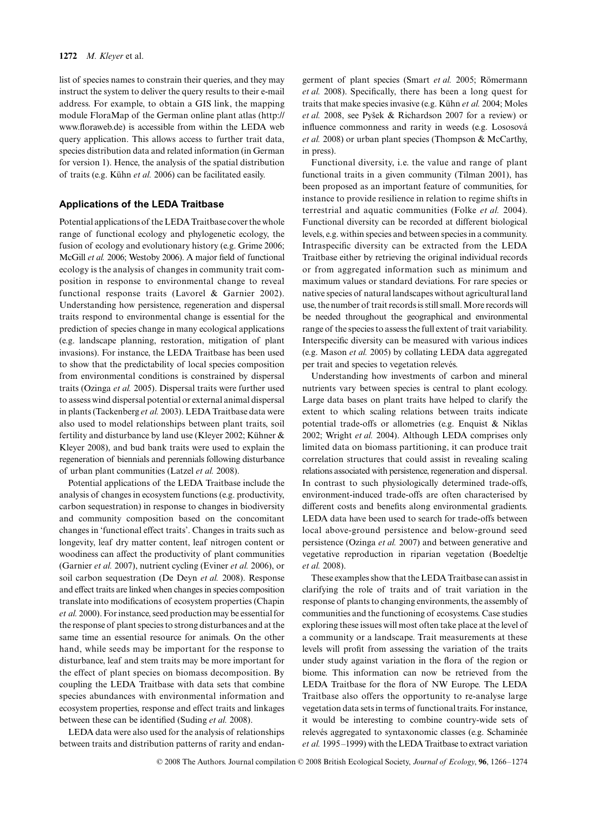list of species names to constrain their queries, and they may instruct the system to deliver the query results to their e-mail address. For example, to obtain a GIS link, the mapping module FloraMap of the German online plant atlas [\(http://](http://www.floraweb.de) www.floraweb.de) is accessible from within the LEDA web query application. This allows access to further trait data, species distribution data and related information (in German for version 1). Hence, the analysis of the spatial distribution of traits (e.g. Kühn *et al.* 2006) can be facilitated easily.

## **Applications of the LEDA Traitbase**

Potential applications of the LEDA Traitbase cover the whole range of functional ecology and phylogenetic ecology, the fusion of ecology and evolutionary history (e.g. Grime 2006; McGill *et al.* 2006; Westoby 2006). A major field of functional ecology is the analysis of changes in community trait composition in response to environmental change to reveal functional response traits (Lavorel & Garnier 2002). Understanding how persistence, regeneration and dispersal traits respond to environmental change is essential for the prediction of species change in many ecological applications (e.g. landscape planning, restoration, mitigation of plant invasions). For instance, the LEDA Traitbase has been used to show that the predictability of local species composition from environmental conditions is constrained by dispersal traits (Ozinga *et al.* 2005). Dispersal traits were further used to assess wind dispersal potential or external animal dispersal in plants (Tackenberg *et al.* 2003). LEDA Traitbase data were also used to model relationships between plant traits, soil fertility and disturbance by land use (Kleyer 2002; Kühner & Kleyer 2008), and bud bank traits were used to explain the regeneration of biennials and perennials following disturbance of urban plant communities (Latzel *et al.* 2008).

Potential applications of the LEDA Traitbase include the analysis of changes in ecosystem functions (e.g. productivity, carbon sequestration) in response to changes in biodiversity and community composition based on the concomitant changes in 'functional effect traits'. Changes in traits such as longevity, leaf dry matter content, leaf nitrogen content or woodiness can affect the productivity of plant communities (Garnier *et al.* 2007), nutrient cycling (Eviner *et al.* 2006), or soil carbon sequestration (De Deyn *et al.* 2008). Response and effect traits are linked when changes in species composition translate into modifications of ecosystem properties (Chapin *et al.* 2000). For instance, seed production may be essential for the response of plant species to strong disturbances and at the same time an essential resource for animals. On the other hand, while seeds may be important for the response to disturbance, leaf and stem traits may be more important for the effect of plant species on biomass decomposition. By coupling the LEDA Traitbase with data sets that combine species abundances with environmental information and ecosystem properties, response and effect traits and linkages between these can be identified (Suding *et al.* 2008).

LEDA data were also used for the analysis of relationships between traits and distribution patterns of rarity and endangerment of plant species (Smart *et al.* 2005; Römermann *et al.* 2008). Specifically, there has been a long quest for traits that make species invasive (e.g. Kühn *et al.* 2004; Moles *et al.* 2008, see Pysek & Richardson 2007 for a review) or influence commonness and rarity in weeds (e.g. Lososová *et al.* 2008) or urban plant species (Thompson & McCarthy, in press).

Functional diversity, i.e. the value and range of plant functional traits in a given community (Tilman 2001), has been proposed as an important feature of communities, for instance to provide resilience in relation to regime shifts in terrestrial and aquatic communities (Folke *et al.* 2004). Functional diversity can be recorded at different biological levels, e.g. within species and between species in a community. Intraspecific diversity can be extracted from the LEDA Traitbase either by retrieving the original individual records or from aggregated information such as minimum and maximum values or standard deviations. For rare species or native species of natural landscapes without agricultural land use, the number of trait records is still small. More records will be needed throughout the geographical and environmental range of the species to assess the full extent of trait variability. Interspecific diversity can be measured with various indices (e.g. Mason *et al.* 2005) by collating LEDA data aggregated per trait and species to vegetation relevés.

Understanding how investments of carbon and mineral nutrients vary between species is central to plant ecology. Large data bases on plant traits have helped to clarify the extent to which scaling relations between traits indicate potential trade-offs or allometries (e.g. Enquist & Niklas 2002; Wright *et al.* 2004). Although LEDA comprises only limited data on biomass partitioning, it can produce trait correlation structures that could assist in revealing scaling relations associated with persistence, regeneration and dispersal. In contrast to such physiologically determined trade-offs, environment-induced trade-offs are often characterised by different costs and benefits along environmental gradients. LEDA data have been used to search for trade-offs between local above-ground persistence and below-ground seed persistence (Ozinga *et al.* 2007) and between generative and vegetative reproduction in riparian vegetation (Boedeltje *et al.* 2008).

These examples show that the LEDA Traitbase can assist in clarifying the role of traits and of trait variation in the response of plants to changing environments, the assembly of communities and the functioning of ecosystems. Case studies exploring these issues will most often take place at the level of a community or a landscape. Trait measurements at these levels will profit from assessing the variation of the traits under study against variation in the flora of the region or biome. This information can now be retrieved from the LEDA Traitbase for the flora of NW Europe. The LEDA Traitbase also offers the opportunity to re-analyse large vegetation data sets in terms of functional traits. For instance, it would be interesting to combine country-wide sets of relevés aggregated to syntaxonomic classes (e.g. Schaminée *et al.* 1995–1999) with the LEDA Traitbase to extract variation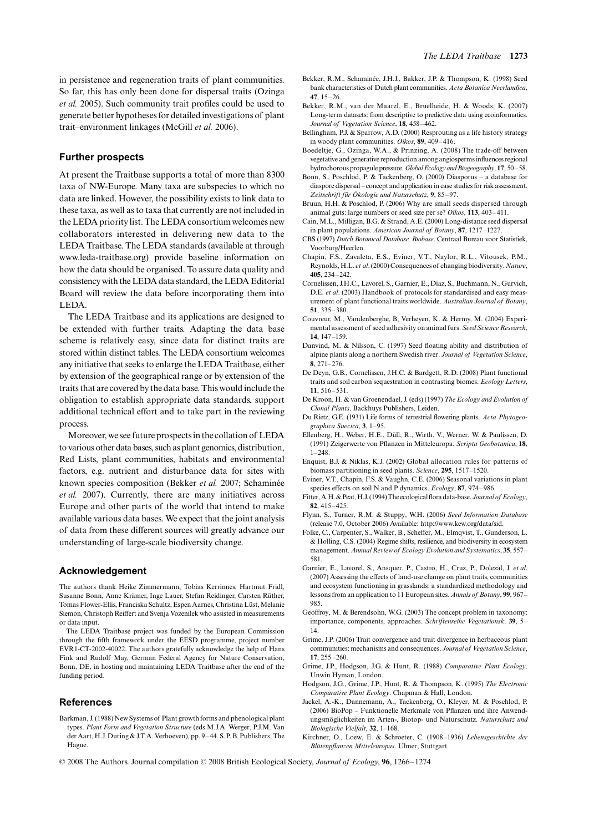in persistence and regeneration traits of plant communities. So far, this has only been done for dispersal traits (Ozinga *et al.* 2005). Such community trait profiles could be used to generate better hypotheses for detailed investigations of plant trait–environment linkages (McGill *et al.* 2006).

#### **Further prospects**

At present the Traitbase supports a total of more than 8300 taxa of NW-Europe. Many taxa are subspecies to which no data are linked. However, the possibility exists to link data to these taxa, as well as to taxa that currently are not included in the LEDA priority list. The LEDA consortium welcomes new collaborators interested in delivering new data to the LEDA Traitbase. The LEDA standards (available at through www.leda-traitbase.org) provide baseline information on how the data should be organised. To assure data quality and consistency with the LEDA data standard, the LEDA Editorial Board will review the data before incorporating them into LEDA.

The LEDA Traitbase and its applications are designed to be extended with further traits. Adapting the data base scheme is relatively easy, since data for distinct traits are stored within distinct tables. The LEDA consortium welcomes any initiative that seeks to enlarge the LEDA Traitbase, either by extension of the geographical range or by extension of the traits that are covered by the data base. This would include the obligation to establish appropriate data standards, support additional technical effort and to take part in the reviewing process.

Moreover, we see future prospects in the collation of LEDA to various other data bases, such as plant genomics, distribution, Red Lists, plant communities, habitats and environmental factors, e.g. nutrient and disturbance data for sites with known species composition (Bekker *et al.* 2007; Schaminée *et al.* 2007). Currently, there are many initiatives across Europe and other parts of the world that intend to make available various data bases. We expect that the joint analysis of data from these different sources will greatly advance our understanding of large-scale biodiversity change.

#### **Acknowledgement**

The authors thank Heike Zimmermann, Tobias Kerrinnes, Hartmut Fridl, Susanne Bonn, Anne Krämer, Inge Lauer, Stefan Reidinger, Carsten Rüther, Tomas Flower-Ellis, Franciska Schultz, Espen Aarnes, Christina Lüst, Melanie Siemon, Christoph Reiffert and Svenja Vozenilek who assisted in measurements or data input.

The LEDA Traitbase project was funded by the European Commission through the fifth framework under the EESD programme, project number EVR1-CT-2002-40022. The authors gratefully acknowledge the help of Hans Fink and Rudolf May, German Federal Agency for Nature Conservation, Bonn, DE, in hosting and maintaining LEDA Traitbase after the end of the funding period.

## **References**

Barkman, J. (1988) New Systems of Plant growth forms and phenological plant types. *Plant Form and Vegetation Structure* (eds M.J.A. Werger, P.J.M. Van der Aart, H.J. During & J.T.A. Verhoeven), pp. 9–44. S. P. B. Publishers, The Hague.

- Bekker, R.M., Schaminée, J.H.J., Bakker, J.P. & Thompson, K. (1998) Seed bank characteristics of Dutch plant communities. *Acta Botanica Neerlandica*, **47**, 15–26.
- Bekker, R.M., van der Maarel, E., Bruelheide, H. & Woods, K. (2007) Long-term datasets: from descriptive to predictive data using ecoinformatics. *Journal of Vegetation Science*, **18**, 458–462.
- Bellingham, P.J. & Sparrow, A.D. (2000) Resprouting as a life history strategy in woody plant communities. *Oikos*, **89**, 409–416.
- Boedeltje, G., Ozinga, W.A., & Prinzing, A. (2008) The trade-off between vegetative and generative reproduction among angiosperms influences regional hydrochorous propagule pressure. *Global Ecology and Biogeography*, **17**, 50–58.
- Bonn, S., Poschlod, P. & Tackenberg, O. (2000) Diasporus a database for diaspore dispersal – concept and application in case studies for risk assessment. *Zeitschrift für Ökologie und Naturschutz*, **9**, 85–97.
- Bruun, H.H. & Poschlod, P. (2006) Why are small seeds dispersed through animal guts: large numbers or seed size per se? *Oikos*, **113**, 403–411.
- Cain, M.L., Milligan, B.G. & Strand, A.E. (2000) Long-distance seed dispersal in plant populations. *American Journal of Botany*, **87**, 1217–1227.
- CBS (1997) *Dutch Botanical Database, Biobase*. Centraal Bureau voor Statistiek, Voorburg/Heerlen.
- Chapin, F.S., Zavaleta, E.S., Eviner, V.T., Naylor, R.L., Vitousek, P.M., Reynolds, H.L. *et al*. (2000) Consequences of changing biodiversity. *Nature*, **405**, 234–242.
- Cornelissen, J.H.C., Lavorel, S., Garnier, E., Díaz, S., Buchmann, N., Gurvich, D.E. *et al*. (2003) Handbook of protocols for standardised and easy measurement of plant functional traits worldwide. *Australian Journal of Botany*, **51**, 335–380.
- Couvreur, M., Vandenberghe, B, Verheyen, K. & Hermy, M. (2004) Experimental assessment of seed adhesivity on animal furs. *Seed Science Research*, **14**, 147–159.
- Danvind, M. & Nilsson, C. (1997) Seed floating ability and distribution of alpine plants along a northern Swedish river. *Journal of Vegetation Science*, **8**, 271–276.
- De Deyn, G.B., Cornelissen, J.H.C. & Bardgett, R.D. (2008) Plant functional traits and soil carbon sequestration in contrasting biomes. *Ecology Letters*, **11**, 516–531.
- De Kroon, H. & van Groenendael, J. (eds) (1997) *The Ecology and Evolution of Clonal Plants*. Backhuys Publishers, Leiden.
- Du Rietz, G.E. (1931) Life forms of terrestrial flowering plants. *Acta Phytogeographica Suecica*, **3**, 1–95.
- Ellenberg, H., Weber, H.E., Düll, R., Wirth, V., Werner, W. & Paulissen, D. (1991) Zeigerwerte von Pflanzen in Mitteleuropa. *Scripta Geobotanica*, **18**,  $1 - 248$
- Enquist, B.J. & Niklas, K.J. (2002) Global allocation rules for patterns of biomass partitioning in seed plants. *Science*, **295**, 1517–1520.
- Eviner, V.T., Chapin, F.S. & Vaughn, C.E. (2006) Seasonal variations in plant species effects on soil N and P dynamics. *Ecology*, **87**, 974–986.
- Fitter, A.H. & Peat, H.J. (1994) The ecological flora data-base. *Journal of Ecology*, **82**, 415–425.
- Flynn, S., Turner, R.M. & Stuppy, W.H. (2006) *Seed Information Database* (release 7.0, October 2006) Available: [http://www.kew.org/data/sid.](http://www.kew.org/data/sid)
- Folke, C., Carpenter, S., Walker, B., Scheffer, M., Elmqvist, T., Gunderson, L. & Holling, C.S. (2004) Regime shifts, resilience, and biodiversity in ecosystem management. *Annual Review of Ecology Evolution and Systematics*, **35**, 557– 581.
- Garnier, E., Lavorel, S., Ansquer, P., Castro, H., Cruz, P., Dolezal, J. *et al*. (2007) Assessing the effects of land-use change on plant traits, communities and ecosystem functioning in grasslands: a standardized methodology and lessons from an application to 11 European sites. *Annals of Botany*, **99**, 967– 985.
- Geoffroy, M. & Berendsohn, W.G. (2003) The concept problem in taxonomy: importance, components, approaches. *Schriftenreihe Vegetationsk*. **39**, 5– 14.
- Grime, J.P. (2006) Trait convergence and trait divergence in herbaceous plant communities: mechanisms and consequences. *Journal of Vegetation Science*, **17**, 255–260.
- Grime, J.P., Hodgson, J.G. & Hunt, R. (1988) *Comparative Plant Ecology*. Unwin Hyman, London.
- Hodgson, J.G., Grime, J.P., Hunt, R. & Thompson, K. (1995) *The Electronic Comparative Plant Ecology*. Chapman & Hall, London.
- Jackel, A.-K., Dannemann, A., Tackenberg, O., Kleyer, M. & Poschlod, P. (2006) BioPop – Funktionelle Merkmale von Pflanzen und ihre Anwendungsmöglichkeiten im Arten-, Biotop- und Naturschutz. *Naturschutz und Biologische Vielfalt*, **32**, 1–168.
- Kirchner, O., Loew, E. & Schroeter, C. (1908–1936) *Lebensgeschichte der Blütenpflanzen Mitteleuropas*. Ulmer, Stuttgart.